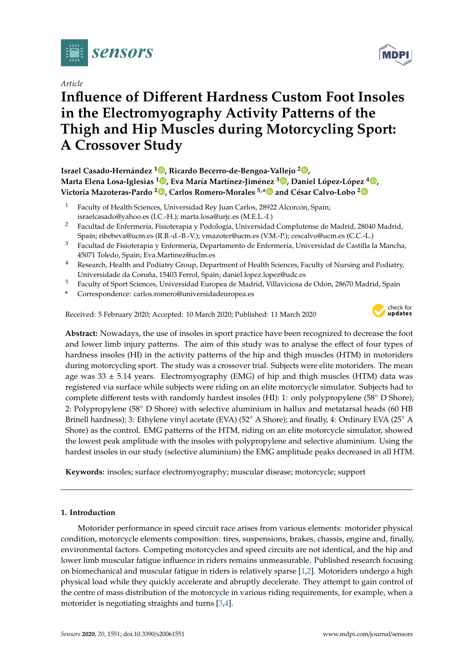

*Article*

# **Influence of Di**ff**erent Hardness Custom Foot Insoles in the Electromyography Activity Patterns of the Thigh and Hip Muscles during Motorcycling Sport: A Crossover Study**

**Israel Casado-Hernández <sup>1</sup> [,](https://orcid.org/0000-0002-8537-425X) Ricardo Becerro-de-Bengoa-Vallejo <sup>2</sup> [,](https://orcid.org/ 0000-0003-1568-7602) Marta Elena Losa-Iglesias <sup>1</sup> [,](https://orcid.org/0000-0001-7588-2069) Eva María Martínez-Jiménez <sup>3</sup> [,](https://orcid.org/0000-0003-0926-5200) Daniel López-López <sup>4</sup> [,](https://orcid.org/0000-0002-9818-6290) Victoria Mazoteras-Pardo [2](https://orcid.org/0000-0001-5741-7606) , Carlos Romero-Morales 5,[\\*](https://orcid.org/0000-0001-6598-829X) and César Calvo-Lobo [2](https://orcid.org/0000-0002-6569-1311)**

- <sup>1</sup> Faculty of Health Sciences, Universidad Rey Juan Carlos, 28922 Alcorcón, Spain; israelcasado@yahoo.es (I.C.-H.); marta.losa@urjc.es (M.E.L.-I.)
- <sup>2</sup> Facultad de Enfermería, Fisioterapia y Podología, Universidad Complutense de Madrid, 28040 Madrid, Spain; ribebeva@ucm.es (R.B.-d.-B.-V.); vmazoter@ucm.es (V.M.-P.); cescalvo@ucm.es (C.C.-L.)
- <sup>3</sup> Facultad de Fisioterapia y Enfermería, Departamento de Enfermería, Universidad de Castilla la Mancha, 45071 Toledo, Spain; Eva.Martinez@uclm.es
- <sup>4</sup> Research, Health and Podiatry Group, Department of Health Sciences, Faculty of Nursing and Podiatry, Universidade da Coruña, 15403 Ferrol, Spain; daniel.lopez.lopez@udc.es
- <sup>5</sup> Faculty of Sport Sciences, Universidad Europea de Madrid, Villaviciosa de Odón, 28670 Madrid, Spain
- **\*** Correspondence: carlos.romero@universidadeuropea.es

Received: 5 February 2020; Accepted: 10 March 2020; Published: 11 March 2020



**MDP** 

**Abstract:** Nowadays, the use of insoles in sport practice have been recognized to decrease the foot and lower limb injury patterns. The aim of this study was to analyse the effect of four types of hardness insoles (HI) in the activity patterns of the hip and thigh muscles (HTM) in motoriders during motorcycling sport. The study was a crossover trial. Subjects were elite motoriders. The mean age was  $33 \pm 5.14$  years. Electromyography (EMG) of hip and thigh muscles (HTM) data was registered via surface while subjects were riding on an elite motorcycle simulator. Subjects had to complete different tests with randomly hardest insoles (HI): 1: only polypropylene (58◦ D Shore); 2: Polypropylene (58◦ D Shore) with selective aluminium in hallux and metatarsal heads (60 HB Brinell hardness); 3: Ethylene vinyl acetate (EVA) (52◦ A Shore); and finally, 4: Ordinary EVA (25◦ A Shore) as the control. EMG patterns of the HTM, riding on an elite motorcycle simulator, showed the lowest peak amplitude with the insoles with polypropylene and selective aluminium. Using the hardest insoles in our study (selective aluminium) the EMG amplitude peaks decreased in all HTM.

**Keywords:** insoles; surface electromyography; muscular disease; motorcycle; support

## **1. Introduction**

Motorider performance in speed circuit race arises from various elements: motorider physical condition, motorcycle elements composition: tires, suspensions, brakes, chassis, engine and, finally, environmental factors. Competing motorcycles and speed circuits are not identical, and the hip and lower limb muscular fatigue influence in riders remains unmeasurable. Published research focusing on biomechanical and muscular fatigue in riders is relatively sparse [\[1](#page-10-0)[,2\]](#page-10-1). Motoriders undergo a high physical load while they quickly accelerate and abruptly decelerate. They attempt to gain control of the centre of mass distribution of the motorcycle in various riding requirements, for example, when a motorider is negotiating straights and turns [\[3](#page-10-2)[,4\]](#page-10-3).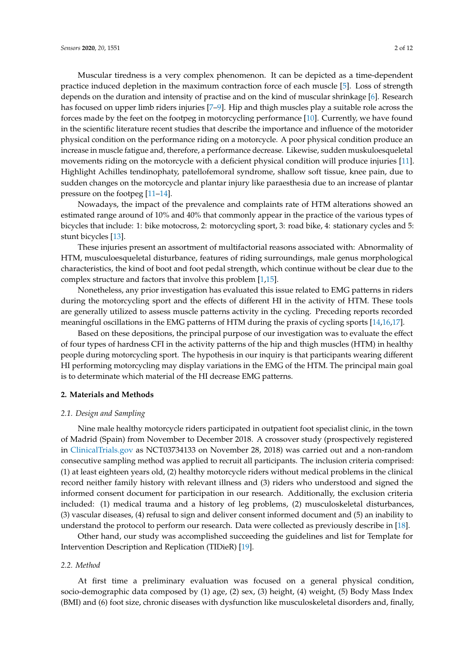Muscular tiredness is a very complex phenomenon. It can be depicted as a time-dependent practice induced depletion in the maximum contraction force of each muscle [\[5\]](#page-10-4). Loss of strength depends on the duration and intensity of practise and on the kind of muscular shrinkage [\[6\]](#page-10-5). Research has focused on upper limb riders injuries [\[7](#page-10-6)[–9\]](#page-10-7). Hip and thigh muscles play a suitable role across the forces made by the feet on the footpeg in motorcycling performance [\[10\]](#page-10-8). Currently, we have found in the scientific literature recent studies that describe the importance and influence of the motorider physical condition on the performance riding on a motorcycle. A poor physical condition produce an increase in muscle fatigue and, therefore, a performance decrease. Likewise, sudden muskuloesqueletal movements riding on the motorcycle with a deficient physical condition will produce injuries [\[11\]](#page-10-9). Highlight Achilles tendinophaty, patellofemoral syndrome, shallow soft tissue, knee pain, due to sudden changes on the motorcycle and plantar injury like paraesthesia due to an increase of plantar pressure on the footpeg [\[11–](#page-10-9)[14\]](#page-10-10).

Nowadays, the impact of the prevalence and complaints rate of HTM alterations showed an estimated range around of 10% and 40% that commonly appear in the practice of the various types of bicycles that include: 1: bike motocross, 2: motorcycling sport, 3: road bike, 4: stationary cycles and 5: stunt bicycles [\[13\]](#page-10-11).

These injuries present an assortment of multifactorial reasons associated with: Abnormality of HTM, musculoesqueletal disturbance, features of riding surroundings, male genus morphological characteristics, the kind of boot and foot pedal strength, which continue without be clear due to the complex structure and factors that involve this problem [\[1](#page-10-0)[,15\]](#page-10-12).

Nonetheless, any prior investigation has evaluated this issue related to EMG patterns in riders during the motorcycling sport and the effects of different HI in the activity of HTM. These tools are generally utilized to assess muscle patterns activity in the cycling. Preceding reports recorded meaningful oscillations in the EMG patterns of HTM during the praxis of cycling sports [\[14](#page-10-10)[,16](#page-10-13)[,17\]](#page-10-14).

Based on these depositions, the principal purpose of our investigation was to evaluate the effect of four types of hardness CFI in the activity patterns of the hip and thigh muscles (HTM) in healthy people during motorcycling sport. The hypothesis in our inquiry is that participants wearing different HI performing motorcycling may display variations in the EMG of the HTM. The principal main goal is to determinate which material of the HI decrease EMG patterns.

## **2. Materials and Methods**

### *2.1. Design and Sampling*

Nine male healthy motorcycle riders participated in outpatient foot specialist clinic, in the town of Madrid (Spain) from November to December 2018. A crossover study (prospectively registered in <ClinicalTrials.gov> as NCT03734133 on November 28, 2018) was carried out and a non-random consecutive sampling method was applied to recruit all participants. The inclusion criteria comprised: (1) at least eighteen years old, (2) healthy motorcycle riders without medical problems in the clinical record neither family history with relevant illness and (3) riders who understood and signed the informed consent document for participation in our research. Additionally, the exclusion criteria included: (1) medical trauma and a history of leg problems, (2) musculoskeletal disturbances, (3) vascular diseases, (4) refusal to sign and deliver consent informed document and (5) an inability to understand the protocol to perform our research. Data were collected as previously describe in [\[18\]](#page-10-15).

Other hand, our study was accomplished succeeding the guidelines and list for Template for Intervention Description and Replication (TIDieR) [\[19\]](#page-10-16).

#### *2.2. Method*

At first time a preliminary evaluation was focused on a general physical condition, socio-demographic data composed by (1) age, (2) sex, (3) height, (4) weight, (5) Body Mass Index (BMI) and (6) foot size, chronic diseases with dysfunction like musculoskeletal disorders and, finally,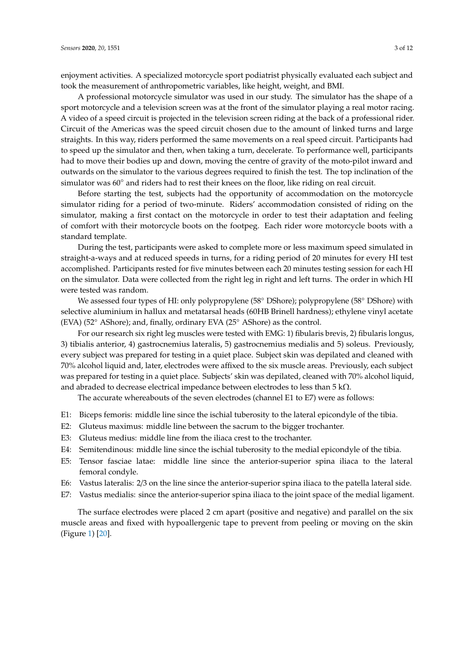enjoyment activities. A specialized motorcycle sport podiatrist physically evaluated each subject and took the measurement of anthropometric variables, like height, weight, and BMI.

A professional motorcycle simulator was used in our study. The simulator has the shape of a sport motorcycle and a television screen was at the front of the simulator playing a real motor racing. A video of a speed circuit is projected in the television screen riding at the back of a professional rider. Circuit of the Americas was the speed circuit chosen due to the amount of linked turns and large straights. In this way, riders performed the same movements on a real speed circuit. Participants had to speed up the simulator and then, when taking a turn, decelerate. To performance well, participants had to move their bodies up and down, moving the centre of gravity of the moto-pilot inward and outwards on the simulator to the various degrees required to finish the test. The top inclination of the simulator was 60° and riders had to rest their knees on the floor, like riding on real circuit.

Before starting the test, subjects had the opportunity of accommodation on the motorcycle simulator riding for a period of two-minute. Riders' accommodation consisted of riding on the simulator, making a first contact on the motorcycle in order to test their adaptation and feeling of comfort with their motorcycle boots on the footpeg. Each rider wore motorcycle boots with a standard template.

During the test, participants were asked to complete more or less maximum speed simulated in straight-a-ways and at reduced speeds in turns, for a riding period of 20 minutes for every HI test accomplished. Participants rested for five minutes between each 20 minutes testing session for each HI on the simulator. Data were collected from the right leg in right and left turns. The order in which HI were tested was random.

We assessed four types of HI: only polypropylene (58° DShore); polypropylene (58° DShore) with selective aluminium in hallux and metatarsal heads (60HB Brinell hardness); ethylene vinyl acetate (EVA) (52◦ AShore); and, finally, ordinary EVA (25◦ AShore) as the control.

For our research six right leg muscles were tested with EMG: 1) fibularis brevis, 2) fibularis longus, 3) tibialis anterior, 4) gastrocnemius lateralis, 5) gastrocnemius medialis and 5) soleus. Previously, every subject was prepared for testing in a quiet place. Subject skin was depilated and cleaned with 70% alcohol liquid and, later, electrodes were affixed to the six muscle areas. Previously, each subject was prepared for testing in a quiet place. Subjects' skin was depilated, cleaned with 70% alcohol liquid, and abraded to decrease electrical impedance between electrodes to less than 5 k $\Omega$ .

The accurate whereabouts of the seven electrodes (channel E1 to E7) were as follows:

- E1: Biceps femoris: middle line since the ischial tuberosity to the lateral epicondyle of the tibia.
- E2: Gluteus maximus: middle line between the sacrum to the bigger trochanter.
- E3: Gluteus medius: middle line from the iliaca crest to the trochanter.
- E4: Semitendinous: middle line since the ischial tuberosity to the medial epicondyle of the tibia.
- E5: Tensor fasciae latae: middle line since the anterior-superior spina iliaca to the lateral femoral condyle.
- E6: Vastus lateralis: 2/3 on the line since the anterior-superior spina iliaca to the patella lateral side.
- E7: Vastus medialis: since the anterior-superior spina iliaca to the joint space of the medial ligament.

The surface electrodes were placed 2 cm apart (positive and negative) and parallel on the six muscle areas and fixed with hypoallergenic tape to prevent from peeling or moving on the skin (Figure [1\)](#page-3-0) [\[20\]](#page-11-0).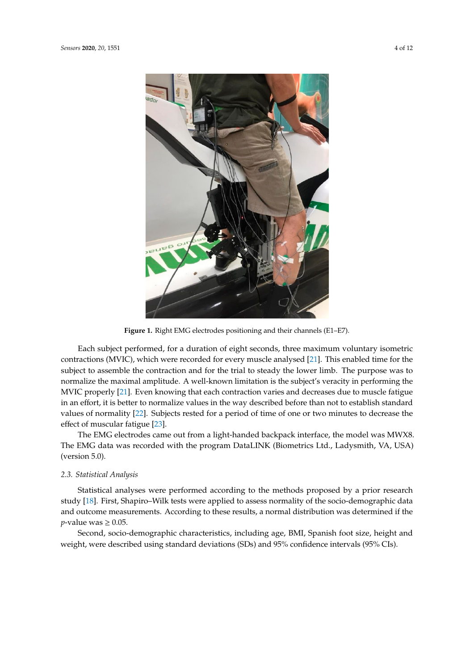<span id="page-3-0"></span>

**Figure 1.** Right EMG electrodes positioning and their channels (E1–E7). **Figure 1.** Right EMG electrodes positioning and their channels (E1–E7).

Each subject performed, for a duration of eight seconds, three maximum voluntary isometric contractions (MVIC), which were recorded for every muscle analysed [\[21\]](#page-11-1). This enabled time for the subject to assemble the contraction and for the trial to steady the lower limb. The purpose was to normalize the maximal amplitude. A well-known limitation is the subject's veracity in performing the MVIC properly [21]. Even knowing that each contraction varies and decreases d[ue to](#page-11-1) muscle fatigue in an effort, it is better to normalize values in the way described before than not to establish standard values of normality [22]. Subjects rested for a period of time of one or two minutes to decrease the effect of muscular fatigue [23]. The model was MWX8. The model was MWX8. The EMG data interface, the model was MW

The EMG electrodes came out from a light-handed backpack interface, the model was MWX8. *2.3. Statistical Analysis* (version 5.0). The EMG data was recorded with the program DataLINK (Biometrics Ltd., Ladysmith, VA, USA)

## Statistical analyses were performed according to the methods proposed by a prior research study [18]. First, *2.3. Statistical Analysis*  $S_{\rm{S}}$  tests were applied to assess normality of the socio-demographic data and outcome measurements.

Statistical analyses were performed according to the methods proposed by a prior research study [\[18\]](#page-10-15). First, Shapiro–Wilk tests were applied to assess normality of the socio-demographic data and outcome measurements. According to these results, a normal distribution was determined if the  $p$ -value was  $\geq 0.05$ .

Second, socio-demographic characteristics, including age, BMI, Spanish foot size, height and weight, were described using standard deviations (SDs) and 95% confidence intervals (95% CIs).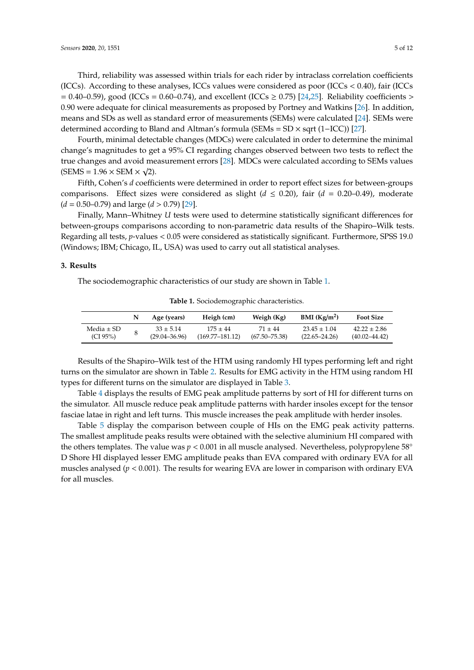Third, reliability was assessed within trials for each rider by intraclass correlation coefficients (ICCs). According to these analyses, ICCs values were considered as poor (ICCs  $<$  0.40), fair (ICCs = 0.40–0.59), good (ICCs = 0.60–0.74), and excellent (ICCs  $\geq$  0.75) [\[24](#page-11-4)[,25\]](#page-11-5). Reliability coefficients > 0.90 were adequate for clinical measurements as proposed by Portney and Watkins [\[26\]](#page-11-6). In addition, means and SDs as well as standard error of measurements (SEMs) were calculated [\[24\]](#page-11-4). SEMs were determined according to Bland and Altman's formula (SEMs = SD × sqrt (1−ICC)) [\[27\]](#page-11-7).

Fourth, minimal detectable changes (MDCs) were calculated in order to determine the minimal change's magnitudes to get a 95% CI regarding changes observed between two tests to reflect the true changes and avoid measurement errors [\[28\]](#page-11-8). MDCs were calculated according to SEMs values √  $(SEMS = 1.96 \times SEM \times \sqrt{2}).$ 

Fifth, Cohen's *d* coefficients were determined in order to report effect sizes for between-groups comparisons. Effect sizes were considered as slight ( $d \le 0.20$ ), fair ( $d = 0.20{\text -}0.49$ ), moderate (*d* = 0.50–0.79) and large (*d* > 0.79) [\[29\]](#page-11-9).

Finally, Mann–Whitney *U* tests were used to determine statistically significant differences for between-groups comparisons according to non-parametric data results of the Shapiro–Wilk tests. Regarding all tests, *p*-values < 0.05 were considered as statistically significant. Furthermore, SPSS 19.0 (Windows; IBM; Chicago, IL, USA) was used to carry out all statistical analyses.

#### **3. Results**

<span id="page-4-0"></span>The sociodemographic characteristics of our study are shown in Table [1.](#page-4-0)

|                | Age (years)       | Heigh (cm)          | Weigh (Kg)        | BMI (Kg/m <sup>2</sup> ) | <b>Foot Size</b>  |
|----------------|-------------------|---------------------|-------------------|--------------------------|-------------------|
| Media $\pm$ SD | $33 \pm 5.14$     | $175 \pm 44$        | $71 + 44$         | $23.45 \pm 1.04$         | $42.22 \pm 2.86$  |
| (CI 95%)       | $(29.04 - 36.96)$ | $(169.77 - 181.12)$ | $(67.50 - 75.38)$ | $(22.65 - 24.26)$        | $(40.02 - 44.42)$ |

**Table 1.** Sociodemographic characteristics.

Results of the Shapiro–Wilk test of the HTM using randomly HI types performing left and right turns on the simulator are shown in Table [2.](#page-5-0) Results for EMG activity in the HTM using random HI types for different turns on the simulator are displayed in Table [3.](#page-6-0)

Table [4](#page-7-0) displays the results of EMG peak amplitude patterns by sort of HI for different turns on the simulator. All muscle reduce peak amplitude patterns with harder insoles except for the tensor fasciae latae in right and left turns. This muscle increases the peak amplitude with herder insoles.

Table [5](#page-8-0) display the comparison between couple of HIs on the EMG peak activity patterns. The smallest amplitude peaks results were obtained with the selective aluminium HI compared with the others templates. The value was *<sup>p</sup>* <sup>&</sup>lt; 0.001 in all muscle analysed. Nevertheless, polypropylene 58◦ D Shore HI displayed lesser EMG amplitude peaks than EVA compared with ordinary EVA for all muscles analysed  $(p < 0.001)$ . The results for wearing EVA are lower in comparison with ordinary EVA for all muscles.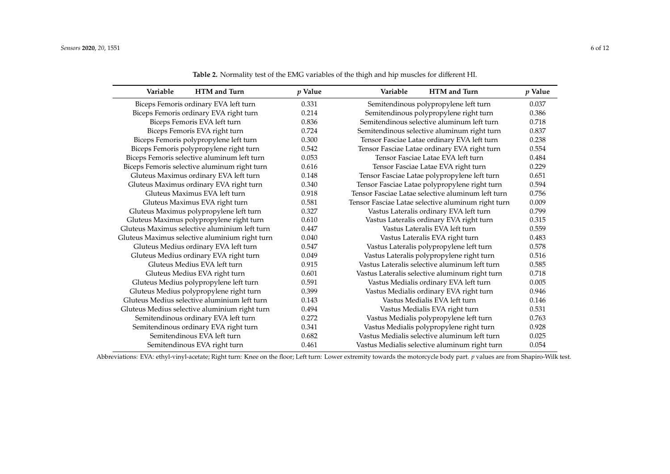| Variable                                       | <b>HTM</b> and Turn                           | $p$ Value | Variable                                     | HTM and Turn                                       | p Value |
|------------------------------------------------|-----------------------------------------------|-----------|----------------------------------------------|----------------------------------------------------|---------|
| Biceps Femoris ordinary EVA left turn          |                                               | 0.331     | Semitendinous polypropylene left turn        |                                                    | 0.037   |
|                                                | Biceps Femoris ordinary EVA right turn        | 0.214     | Semitendinous polypropylene right turn       | 0.386                                              |         |
|                                                | Biceps Femoris EVA left turn                  | 0.836     | Semitendinous selective aluminum left turn   | 0.718                                              |         |
|                                                | Biceps Femoris EVA right turn                 | 0.724     | Semitendinous selective aluminum right turn  | 0.837                                              |         |
|                                                | Biceps Femoris polypropylene left turn        | 0.300     | Tensor Fasciae Latae ordinary EVA left turn  | 0.238                                              |         |
|                                                | Biceps Femoris polypropylene right turn       | 0.542     | Tensor Fasciae Latae ordinary EVA right turn | 0.554                                              |         |
|                                                | Biceps Femoris selective aluminum left turn   | 0.053     | Tensor Fasciae Latae EVA left turn           | 0.484                                              |         |
|                                                | Biceps Femoris selective aluminum right turn  | 0.616     |                                              | Tensor Fasciae Latae EVA right turn                | 0.229   |
|                                                | Gluteus Maximus ordinary EVA left turn        | 0.148     |                                              | Tensor Fasciae Latae polypropylene left turn       | 0.651   |
|                                                | Gluteus Maximus ordinary EVA right turn       | 0.340     |                                              | Tensor Fasciae Latae polypropylene right turn      | 0.594   |
|                                                | Gluteus Maximus EVA left turn                 | 0.918     |                                              | Tensor Fasciae Latae selective aluminum left turn  | 0.756   |
|                                                | Gluteus Maximus EVA right turn                | 0.581     |                                              | Tensor Fasciae Latae selective aluminum right turn | 0.009   |
|                                                | Gluteus Maximus polypropylene left turn       | 0.327     |                                              | Vastus Lateralis ordinary EVA left turn            | 0.799   |
|                                                | Gluteus Maximus polypropylene right turn      | 0.610     |                                              | Vastus Lateralis ordinary EVA right turn           | 0.315   |
|                                                | Gluteus Maximus selective aluminium left turn | 0.447     |                                              | Vastus Lateralis EVA left turn                     | 0.559   |
| Gluteus Maximus selective aluminium right turn |                                               | 0.040     | Vastus Lateralis EVA right turn              |                                                    | 0.483   |
|                                                | Gluteus Medius ordinary EVA left turn         | 0.547     |                                              | Vastus Lateralis polypropylene left turn           | 0.578   |
|                                                | Gluteus Medius ordinary EVA right turn        | 0.049     |                                              | Vastus Lateralis polypropylene right turn          | 0.516   |
|                                                | Gluteus Medius EVA left turn                  | 0.915     |                                              | Vastus Lateralis selective aluminum left turn      | 0.585   |
|                                                | Gluteus Medius EVA right turn                 | 0.601     |                                              | Vastus Lateralis selective aluminum right turn     | 0.718   |
|                                                | Gluteus Medius polypropylene left turn        | 0.591     |                                              | Vastus Medialis ordinary EVA left turn             | 0.005   |
|                                                | Gluteus Medius polypropylene right turn       | 0.399     |                                              | Vastus Medialis ordinary EVA right turn            | 0.946   |
|                                                | Gluteus Medius selective aluminium left turn  | 0.143     |                                              | Vastus Medialis EVA left turn                      | 0.146   |
|                                                | Gluteus Medius selective aluminium right turn | 0.494     |                                              | Vastus Medialis EVA right turn                     | 0.531   |
|                                                | Semitendinous ordinary EVA left turn          | 0.272     |                                              | Vastus Medialis polypropylene left turn            | 0.763   |
|                                                | Semitendinous ordinary EVA right turn         | 0.341     |                                              | Vastus Medialis polypropylene right turn           | 0.928   |
|                                                | Semitendinous EVA left turn                   | 0.682     |                                              | Vastus Medialis selective aluminum left turn       | 0.025   |
|                                                | Semitendinous EVA right turn                  | 0.461     |                                              | Vastus Medialis selective aluminum right turn      | 0.054   |

**Table 2.** Normality test of the EMG variables of the thigh and hip muscles for different HI.

<span id="page-5-0"></span>Abbreviations: EVA: ethyl-vinyl-acetate; Right turn: Knee on the floor; Left turn: Lower extremity towards the motorcycle body part. *p* values are from Shapiro-Wilk test.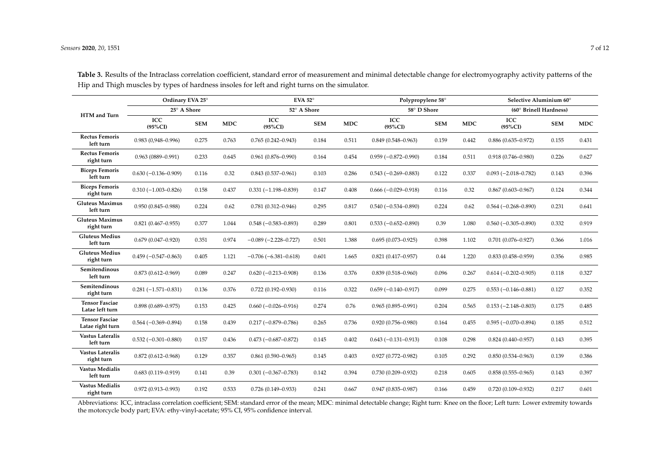|                                           | Ordinary EVA 25°<br>25° A Shore |            |            | EVA 52 $^{\circ}$<br>52° A Shore |            |            | Polypropylene 58°<br>58° D Shore |            |            | Selective Aluminium 60°<br>(60° Brinell Hardness) |            |            |
|-------------------------------------------|---------------------------------|------------|------------|----------------------------------|------------|------------|----------------------------------|------------|------------|---------------------------------------------------|------------|------------|
|                                           |                                 |            |            |                                  |            |            |                                  |            |            |                                                   |            |            |
| HTM and Turn                              | ICC<br>$(95\%CI)$               | <b>SEM</b> | <b>MDC</b> | ICC<br>$(95\%CI)$                | <b>SEM</b> | <b>MDC</b> | ICC<br>$(95\%CI)$                | <b>SEM</b> | <b>MDC</b> | ICC<br>$(95\%CI)$                                 | <b>SEM</b> | <b>MDC</b> |
| <b>Rectus Femoris</b><br>left turn        | $0.983(0.948 - 0.996)$          | 0.275      | 0.763      | $0.765(0.242 - 0.943)$           | 0.184      | 0.511      | $0.849(0.548 - 0.963)$           | 0.159      | 0.442      | $0.886(0.635 - 0.972)$                            | 0.155      | 0.431      |
| <b>Rectus Femoris</b><br>right turn       | $0.963(0889 - 0.991)$           | 0.233      | 0.645      | $0.961(0.876 - 0.990)$           | 0.164      | 0.454      | $0.959(-0.872-0.990)$            | 0.184      | 0.511      | $0.918(0.746 - 0.980)$                            | 0.226      | 0.627      |
| <b>Biceps Femoris</b><br>left turn        | $0.630(-0.136-0.909)$           | 0.116      | 0.32       | $0.843(0.537 - 0.961)$           | 0.103      | 0.286      | $0.543(-0.269-0.883)$            | 0.122      | 0.337      | $0.093 (-2.018 - 0.782)$                          | 0.143      | 0.396      |
| <b>Biceps Femoris</b><br>right turn       | $0.310(-1.003 - 0.826)$         | 0.158      | 0.437      | $0.331(-1.198 - 0.839)$          | 0.147      | 0.408      | $0.666(-0.029-0.918)$            | 0.116      | 0.32       | $0.867(0.603 - 0.967)$                            | 0.124      | 0.344      |
| <b>Gluteus Maximus</b><br>left turn       | $0.950(0.845 - 0.988)$          | 0.224      | 0.62       | $0.781(0.312 - 0.946)$           | 0.295      | 0.817      | $0.540 (-0.534 - 0.890)$         | 0.224      | 0.62       | $0.564 (-0.268 - 0.890)$                          | 0.231      | 0.641      |
| <b>Gluteus Maximus</b><br>right turn      | $0.821(0.467 - 0.955)$          | 0.377      | 1.044      | $0.548(-0.583-0.893)$            | 0.289      | 0.801      | $0.533(-0.652-0.890)$            | 0.39       | 1.080      | $0.560 (-0.305 - 0.890)$                          | 0.332      | 0.919      |
| <b>Gluteus Medius</b><br>left turn        | $0.679(0.047 - 0.920)$          | 0.351      | 0.974      | $-0.089(-2.228 - 0.727)$         | 0.501      | 1.388      | $0.695(0.073 - 0.925)$           | 0.398      | 1.102      | $0.701(0.076 - 0.927)$                            | 0.366      | 1.016      |
| <b>Gluteus Medius</b><br>right turn       | $0.459(-0.547-0.863)$           | 0.405      | 1.121      | $-0.706 (-6.381 - 0.618)$        | 0.601      | 1.665      | $0.821(0.417 - 0.957)$           | 0.44       | 1.220      | $0.833(0.458 - 0.959)$                            | 0.356      | 0.985      |
| Semitendinous<br>left turn                | $0.873(0.612 - 0.969)$          | 0.089      | 0.247      | $0.620(-0.213-0.908)$            | 0.136      | 0.376      | $0.839(0.518 - 0.960)$           | 0.096      | 0.267      | $0.614 (-0.202 - 0.905)$                          | 0.118      | 0.327      |
| Semitendinous<br>right turn               | $0.281(-1.571-0.831)$           | 0.136      | 0.376      | $0.722(0.192 - 0.930)$           | 0.116      | 0.322      | $0.659(-0.140-0.917)$            | 0.099      | 0.275      | $0.553(-0.146 - 0.881)$                           | 0.127      | 0.352      |
| <b>Tensor Fasciae</b><br>Latae left turn  | $0.898(0.689 - 0.975)$          | 0.153      | 0.425      | $0.660(-0.026 - 0.916)$          | 0.274      | 0.76       | $0.965(0.895 - 0.991)$           | 0.204      | 0.565      | $0.153 (-2.148 - 0.803)$                          | 0.175      | 0.485      |
| <b>Tensor Fasciae</b><br>Latae right turn | $0.564 (-0.369 - 0.894)$        | 0.158      | 0.439      | $0.217 (-0.879 - 0.786)$         | 0.265      | 0.736      | $0.920(0.756 - 0.980)$           | 0.164      | 0.455      | $0.595 (-0.070 - 0.894)$                          | 0.185      | 0.512      |
| Vastus Lateralis<br>left turn             | $0.532(-0.301 - 0.880)$         | 0.157      | 0.436      | $0.473(-0.687-0.872)$            | 0.145      | 0.402      | $0.643(-0.131-0.913)$            | 0.108      | 0.298      | $0.824(0.440 - 0.957)$                            | 0.143      | 0.395      |
| <b>Vastus Lateralis</b><br>right turn     | $0.872(0.612 - 0.968)$          | 0.129      | 0.357      | $0.861(0.590 - 0.965)$           | 0.145      | 0.403      | $0.927(0.772 - 0.982)$           | 0.105      | 0.292      | $0.850(0.534 - 0.963)$                            | 0.139      | 0.386      |
| Vastus Medialis<br>left turn              | $0.683(0.119 - 0.919)$          | 0.141      | 0.39       | $0.301 (-0.367 - 0.783)$         | 0.142      | 0.394      | $0.730(0.209 - 0.932)$           | 0.218      | 0.605      | $0.858(0.555 - 0.965)$                            | 0.143      | 0.397      |
| <b>Vastus Medialis</b><br>right turn      | $0.972(0.913 - 0.993)$          | 0.192      | 0.533      | $0.726(0.149 - 0.933)$           | 0.241      | 0.667      | $0.947(0.835 - 0.987)$           | 0.166      | 0.459      | $0.720(0.109 - 0.932)$                            | 0.217      | 0.601      |

**Table 3.** Results of the Intraclass correlation coefficient, standard error of measurement and minimal detectable change for electromyography activity patterns of the Hip and Thigh muscles by types of hardness insoles for left and right turns on the simulator.

<span id="page-6-0"></span>Abbreviations: ICC, intraclass correlation coefficient; SEM: standard error of the mean; MDC: minimal detectable change; Right turn: Knee on the floor; Left turn: Lower extremity towards the motorcycle body part; EVA: ethy-vinyl-acetate; 95% CI, 95% confidence interval.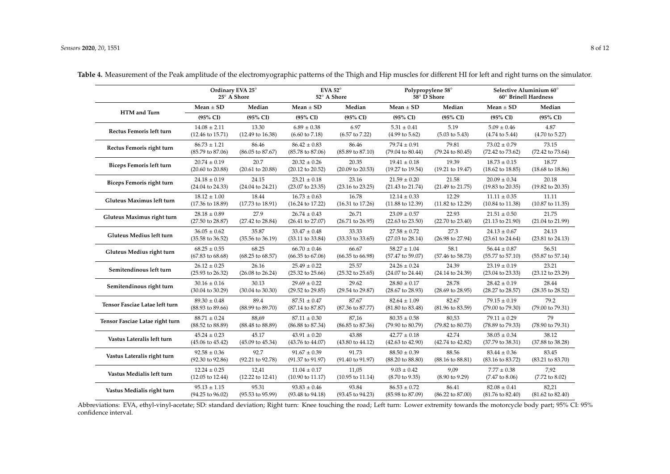|                                 | Ordinary EVA 25°<br>25° A Shore |                             | EVA 52 $^{\circ}$<br>52° A Shore |                             |                             | Polypropylene 58°<br>58° D Shore | Selective Aluminium 60°<br>60° Brinell Hardness |                             |  |
|---------------------------------|---------------------------------|-----------------------------|----------------------------------|-----------------------------|-----------------------------|----------------------------------|-------------------------------------------------|-----------------------------|--|
|                                 | $Mean \pm SD$                   | Median                      | $Mean \pm SD$                    | Median                      | $Mean \pm SD$               | Median                           | Mean $\pm$ SD                                   | Median                      |  |
| HTM and Turn                    | (95% CI)                        | (95% CI)                    | $(95\% \text{ CI})$              | (95% CI)                    | (95% CI)                    | (95% CI)                         | $(95\% \text{ CI})$                             | (95% CI)                    |  |
| Rectus Femoris left turn        | $14.08 \pm 2.11$                | 13.30                       | $6.89 \pm 0.38$                  | 6.97                        | $5.31 \pm 0.41$             | 5.19                             | $5.09 \pm 0.46$                                 | 4.87                        |  |
|                                 | $(12.46 \text{ to } 15.71)$     | $(12.49 \text{ to } 16.38)$ | $(6.60 \text{ to } 7.18)$        | $(6.57 \text{ to } 7.22)$   | $(4.99 \text{ to } 5.62)$   | $(5.03 \text{ to } 5.43)$        | $(4.74 \text{ to } 5.44)$                       | $(4.70 \text{ to } 5.27)$   |  |
| Rectus Femoris right turn       | $86.73 \pm 1.21$                | 86.46                       | $86.42 \pm 0.83$                 | 86.46                       | $79.74 \pm 0.91$            | 79.81                            | $73.02 \pm 0.79$                                | 73.15                       |  |
|                                 | (85.79 to 87.06)                | $(86.05 \text{ to } 87.67)$ | (85.78 to 87.06)                 | $(85.89 \text{ to } 87.10)$ | (79.04 to 80.44)            | $(79.24 \text{ to } 80.45)$      | (72.42 to 73.62)                                | (72.42 to 73.64)            |  |
| <b>Biceps Femoris left turn</b> | $20.74 \pm 0.19$                | 20.7                        | $20.32\pm0.26$                   | 20.35                       | $19.41 \pm 0.18$            | 19.39                            | $18.73 \pm 0.15$                                | 18.77                       |  |
|                                 | $(20.60 \text{ to } 20.88)$     | $(20.61 \text{ to } 20.88)$ | (20.12 to 20.52)                 | $(20.09 \text{ to } 20.53)$ | $(19.27 \text{ to } 19.54)$ | $(19.21 \text{ to } 19.47)$      | $(18.62 \text{ to } 18.85)$                     | $(18.68 \text{ to } 18.86)$ |  |
| Biceps Femoris right turn       | $24.18 \pm 0.19$                | 24.15                       | $23.21 \pm 0.18$                 | 23.16                       | $21.59 \pm 0.20$            | 21.58                            | $20.09 \pm 0.34$                                | 20.18                       |  |
|                                 | $(24.04 \text{ to } 24.33)$     | (24.04 to 24.21)            | (23.07 to 23.35)                 | $(23.16 \text{ to } 23.25)$ | $(21.43 \text{ to } 21.74)$ | (21.49 to 21.75)                 | $(19.83 \text{ to } 20.35)$                     | $(19.82 \text{ to } 20.35)$ |  |
| Gluteus Maximus left turn       | $18.12 \pm 1.00$                | 18.44                       | $16.73 \pm 0.63$                 | 16.78                       | $12.14 \pm 0.33$            | 12.29                            | $11.11 \pm 0.35$                                | 11.11                       |  |
|                                 | $(17.36 \text{ to } 18.89)$     | $(17.73 \text{ to } 18.91)$ | $(16.24 \text{ to } 17.22)$      | $(16.31 \text{ to } 17.26)$ | $(11.88 \text{ to } 12.39)$ | $(11.82 \text{ to } 12.29)$      | $(10.84 \text{ to } 11.38)$                     | $(10.87 \text{ to } 11.35)$ |  |
| Gluteus Maximus right turn      | $28.18 \pm 0.89$                | 27.9                        | $26.74 \pm 0.43$                 | 26.71                       | $23.09 \pm 0.57$            | 22.93                            | $21.51 \pm 0.50$                                | 21.75                       |  |
|                                 | $(27.50 \text{ to } 28.87)$     | (27.42 to 28.84)            | $(26.41 \text{ to } 27.07)$      | $(26.71 \text{ to } 26.95)$ | $(22.63 \text{ to } 23.50)$ | $(22.70 \text{ to } 23.40)$      | $(21.13 \text{ to } 21.90)$                     | $(21.04 \text{ to } 21.99)$ |  |
| Gluteus Medius left turn        | $36.05 \pm 0.62$                | 35.87                       | $33.47 \pm 0.48$                 | 33.33                       | $27.58 \pm 0.72$            | 27.3                             | $24.13 \pm 0.67$                                | 24.13                       |  |
|                                 | $(35.58 \text{ to } 36.52)$     | $(35.56 \text{ to } 36.19)$ | $(33.11 \text{ to } 33.84)$      | (33.33 to 33.65)            | $(27.03 \text{ to } 28.14)$ | (26.98 to 27.94)                 | $(23.61 \text{ to } 24.64)$                     | $(23.81 \text{ to } 24.13)$ |  |
| Gluteus Medius right turn       | $68.25 \pm 0.55$                | 68.25                       | $66.70 \pm 0.46$                 | 66.67                       | $58.27 \pm 1.04$            | 58.1                             | $56.44 \pm 0.87$                                | 56.51                       |  |
|                                 | $(67.83 \text{ to } 68.68)$     | $(68.25 \text{ to } 68.57)$ | $(66.35 \text{ to } 67.06)$      | $(66.35 \text{ to } 66.98)$ | (57.47 to 59.07)            | (57.46 to 58.73)                 | $(55.77$ to $57.10)$                            | $(55.87 \text{ to } 57.14)$ |  |
| Semitendinous left turn         | $26.12 \pm 0.25$                | 26.16                       | $25.49 \pm 0.22$                 | 25.57                       | $24.26 \pm 0.24$            | 24.39                            | $23.19 \pm 0.19$                                | 23.21                       |  |
|                                 | (25.93 to 26.32)                | $(26.08 \text{ to } 26.24)$ | $(25.32 \text{ to } 25.66)$      | $(25.32 \text{ to } 25.65)$ | (24.07 to 24.44)            | (24.14 to 24.39)                 | $(23.04 \text{ to } 23.33)$                     | $(23.12 \text{ to } 23.29)$ |  |
| Semitendinous right turn        | $30.16 \pm 0.16$                | 30.13                       | $29.69 \pm 0.22$                 | 29.62                       | $28.80 \pm 0.17$            | 28.78                            | $28.42 \pm 0.19$                                | 28.44                       |  |
|                                 | $(30.04 \text{ to } 30.29)$     | $(30.04 \text{ to } 30.30)$ | $(29.52 \text{ to } 29.85)$      | (29.54 to 29.87)            | $(28.67 \text{ to } 28.93)$ | $(28.69 \text{ to } 28.95)$      | $(28.27 \text{ to } 28.57)$                     | $(28.35 \text{ to } 28.52)$ |  |
| Tensor Fasciae Latae left turn  | $89.30 \pm 0.48$                | 89.4                        | $87.51 \pm 0.47$                 | 87.67                       | $82.64 \pm 1.09$            | 82.67                            | $79.15 \pm 0.19$                                | 79.2                        |  |
|                                 | (88.93 to 89.66)                | $(88.99 \text{ to } 89.70)$ | (87.14 to 87.87)                 | (87.36 to 87.77)            | $(81.80 \text{ to } 83.48)$ | $(81.96 \text{ to } 83.59)$      | (79.00 to 79.30)                                | (79.00 to 79.31)            |  |
| Tensor Fasciae Latae right turn | $88.71 \pm 0.24$                | 88,69                       | $87.11 \pm 0.30$                 | 87,16                       | $80.35 \pm 0.58$            | 80,53                            | $79.11 \pm 0.29$                                | 79                          |  |
|                                 | (88.52 to 88.89)                | (88.48 to 88.89)            | (86.88 to 87.34)                 | (86.85 to 87.36)            | (79.90 to 80.79)            | (79.82 to 80.73)                 | (78.89 to 79.33)                                | (78.90 to 79.31)            |  |
| Vastus Lateralis left turn      | $45.24 \pm 0.23$                | 45.17                       | $43.91 \pm 0.20$                 | 43.88                       | $42.77 \pm 0.18$            | 42.74                            | $38.05 \pm 0.34$                                | 38.12                       |  |
|                                 | $(45.06 \text{ to } 45.42)$     | $(45.09 \text{ to } 45.34)$ | $(43.76 \text{ to } 44.07)$      | $(43.80 \text{ to } 44.12)$ | $(42.63 \text{ to } 42.90)$ | (42.74 to 42.82)                 | (37.79 to 38.31)                                | $(37.88 \text{ to } 38.28)$ |  |
| Vastus Lateralis right turn     | $92.58 \pm 0.36$                | 92.7                        | $91.67 \pm 0.39$                 | 91.73                       | $88.50 \pm 0.39$            | 88.56                            | $83.44 \pm 0.36$                                | 83.45                       |  |
|                                 | $(92.30 \text{ to } 92.86)$     | $(92.21$ to $92.78)$        | $(91.37$ to $91.97)$             | $(91.40 \text{ to } 91.97)$ | $(88.20 \text{ to } 88.80)$ | $(88.16 \text{ to } 88.81)$      | $(83.16 \text{ to } 83.72)$                     | $(83.21 \text{ to } 83.70)$ |  |
| Vastus Medialis left turn       | $12.24 \pm 0.25$                | 12,41                       | $11.04 \pm 0.17$                 | 11,05                       | $9.03 \pm 0.42$             | 9,09                             | $7.77 \pm 0.38$                                 | 7,92                        |  |
|                                 | $(12.05 \text{ to } 12.44)$     | $(12.22 \text{ to } 12.41)$ | $(10.90 \text{ to } 11.17)$      | $(10.95 \text{ to } 11.14)$ | $(8.70 \text{ to } 9.35)$   | $(8.90 \text{ to } 9.29)$        | $(7.47 \text{ to } 8.06)$                       | $(7.72 \text{ to } 8.02)$   |  |
| Vastus Medialis right turn      | $95.13 \pm 1.15$                | 95.31                       | $93.83 \pm 0.46$                 | 93.84                       | $86.53 \pm 0.72$            | 86.41                            | $82.08 \pm 0.41$                                | 82,21                       |  |
|                                 | $(94.25 \text{ to } 96.02)$     | $(95.53 \text{ to } 95.99)$ | $(93.48 \text{ to } 94.18)$      | (93.45 to 94.23)            | $(85.98 \text{ to } 87.09)$ | $(86.22 \text{ to } 87.00)$      | $(81.76 \text{ to } 82.40)$                     | $(81.62 \text{ to } 82.40)$ |  |

**Table 4.** Measurement of the Peak amplitude of the electromyographic patterns of the Thigh and Hip muscles for different HI for left and right turns on the simulator.

<span id="page-7-0"></span>Abbreviations: EVA, ethyl-vinyl-acetate; SD: standard deviation; Right turn: Knee touching the road; Left turn: Lower extremity towards the motorcycle body part; 95% CI: 95% confidence interval.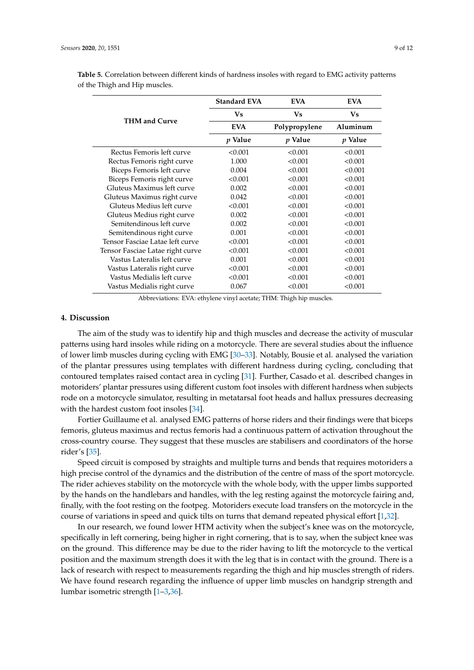|                                  | <b>Standard EVA</b> | <b>EVA</b>     | <b>EVA</b>     |  |
|----------------------------------|---------------------|----------------|----------------|--|
|                                  | Vs                  | Vs             | Vs             |  |
| <b>THM and Curve</b>             | <b>EVA</b>          | Polypropylene  | Aluminum       |  |
|                                  | $p$ Value           | <i>p</i> Value | <i>p</i> Value |  |
| Rectus Femoris left curve        | < 0.001             | < 0.001        | < 0.001        |  |
| Rectus Femoris right curve       | 1.000               | < 0.001        | < 0.001        |  |
| Biceps Femoris left curve        | 0.004               | < 0.001        | < 0.001        |  |
| Biceps Femoris right curve       | < 0.001             | < 0.001        | < 0.001        |  |
| Gluteus Maximus left curve       | 0.002               | < 0.001        | < 0.001        |  |
| Gluteus Maximus right curve      | 0.042               | < 0.001        | < 0.001        |  |
| Gluteus Medius left curve        | < 0.001             | < 0.001        | < 0.001        |  |
| Gluteus Medius right curve       | 0.002               | < 0.001        | < 0.001        |  |
| Semitendinous left curve         | 0.002               | < 0.001        | < 0.001        |  |
| Semitendinous right curve        | 0.001               | < 0.001        | < 0.001        |  |
| Tensor Fasciae Latae left curve  | < 0.001             | < 0.001        | < 0.001        |  |
| Tensor Fasciae Latae right curve | < 0.001             | < 0.001        | < 0.001        |  |
| Vastus Lateralis left curve      | 0.001               | < 0.001        | < 0.001        |  |
| Vastus Lateralis right curve     | < 0.001             | < 0.001        | < 0.001        |  |
| Vastus Medialis left curve       | < 0.001             | < 0.001        | < 0.001        |  |
| Vastus Medialis right curve      | 0.067               | < 0.001        | < 0.001        |  |

<span id="page-8-0"></span>**Table 5.** Correlation between different kinds of hardness insoles with regard to EMG activity patterns of the Thigh and Hip muscles.

Abbreviations: EVA: ethylene vinyl acetate; THM: Thigh hip muscles.

### **4. Discussion**

The aim of the study was to identify hip and thigh muscles and decrease the activity of muscular patterns using hard insoles while riding on a motorcycle. There are several studies about the influence of lower limb muscles during cycling with EMG [\[30](#page-11-10)[–33\]](#page-11-11). Notably, Bousie et al. analysed the variation of the plantar pressures using templates with different hardness during cycling, concluding that contoured templates raised contact area in cycling [\[31\]](#page-11-12). Further, Casado et al. described changes in motoriders' plantar pressures using different custom foot insoles with different hardness when subjects rode on a motorcycle simulator, resulting in metatarsal foot heads and hallux pressures decreasing with the hardest custom foot insoles [\[34\]](#page-11-13).

Fortier Guillaume et al. analysed EMG patterns of horse riders and their findings were that biceps femoris, gluteus maximus and rectus femoris had a continuous pattern of activation throughout the cross-country course. They suggest that these muscles are stabilisers and coordinators of the horse rider's [\[35\]](#page-11-14).

Speed circuit is composed by straights and multiple turns and bends that requires motoriders a high precise control of the dynamics and the distribution of the centre of mass of the sport motorcycle. The rider achieves stability on the motorcycle with the whole body, with the upper limbs supported by the hands on the handlebars and handles, with the leg resting against the motorcycle fairing and, finally, with the foot resting on the footpeg. Motoriders execute load transfers on the motorcycle in the course of variations in speed and quick tilts on turns that demand repeated physical effort [\[1](#page-10-0)[,32\]](#page-11-15).

In our research, we found lower HTM activity when the subject's knee was on the motorcycle, specifically in left cornering, being higher in right cornering, that is to say, when the subject knee was on the ground. This difference may be due to the rider having to lift the motorcycle to the vertical position and the maximum strength does it with the leg that is in contact with the ground. There is a lack of research with respect to measurements regarding the thigh and hip muscles strength of riders. We have found research regarding the influence of upper limb muscles on handgrip strength and lumbar isometric strength [\[1](#page-10-0)[–3](#page-10-2)[,36\]](#page-11-16).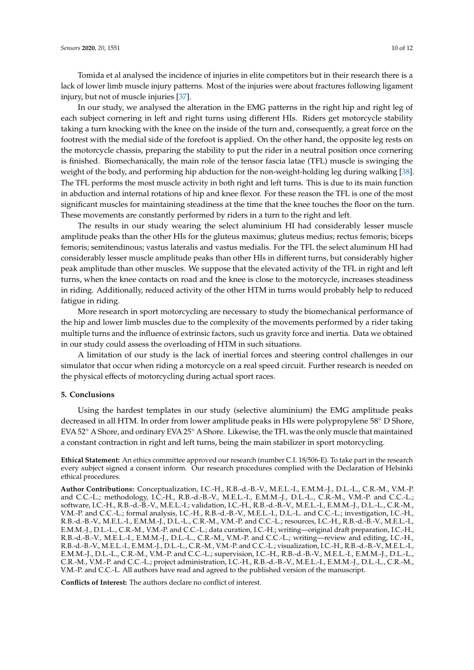Tomida et al analysed the incidence of injuries in elite competitors but in their research there is a lack of lower limb muscle injury patterns. Most of the injuries were about fractures following ligament injury, but not of muscle injuries [\[37\]](#page-11-17).

In our study, we analysed the alteration in the EMG patterns in the right hip and right leg of each subject cornering in left and right turns using different HIs. Riders get motorcycle stability taking a turn knocking with the knee on the inside of the turn and, consequently, a great force on the footrest with the medial side of the forefoot is applied. On the other hand, the opposite leg rests on the motorcycle chassis, preparing the stability to put the rider in a neutral position once cornering is finished. Biomechanically, the main role of the tensor fascia latae (TFL) muscle is swinging the weight of the body, and performing hip abduction for the non-weight-holding leg during walking [\[38\]](#page-11-18). The TFL performs the most muscle activity in both right and left turns. This is due to its main function in abduction and internal rotations of hip and knee flexor. For these reason the TFL is one of the most significant muscles for maintaining steadiness at the time that the knee touches the floor on the turn. These movements are constantly performed by riders in a turn to the right and left.

The results in our study wearing the select aluminium HI had considerably lesser muscle amplitude peaks than the other HIs for the gluteus maximus; gluteus medius; rectus femoris; biceps femoris; semitendinous; vastus lateralis and vastus medialis. For the TFL the select aluminum HI had considerably lesser muscle amplitude peaks than other HIs in different turns, but considerably higher peak amplitude than other muscles. We suppose that the elevated activity of the TFL in right and left turns, when the knee contacts on road and the knee is close to the motorcycle, increases steadiness in riding. Additionally, reduced activity of the other HTM in turns would probably help to reduced fatigue in riding.

More research in sport motorcycling are necessary to study the biomechanical performance of the hip and lower limb muscles due to the complexity of the movements performed by a rider taking multiple turns and the influence of extrinsic factors, such us gravity force and inertia. Data we obtained in our study could assess the overloading of HTM in such situations.

A limitation of our study is the lack of inertial forces and steering control challenges in our simulator that occur when riding a motorcycle on a real speed circuit. Further research is needed on the physical effects of motorcycling during actual sport races.

#### **5. Conclusions**

Using the hardest templates in our study (selective aluminium) the EMG amplitude peaks decreased in all HTM. In order from lower amplitude peaks in HIs were polypropylene 58◦ D Shore, EVA 52◦ A Shore, and ordinary EVA 25◦ A Shore. Likewise, the TFL was the only muscle that maintained a constant contraction in right and left turns, being the main stabilizer in sport motorcycling.

**Ethical Statement:** An ethics committee approved our research (number C.I. 18/506-E). To take part in the research every subject signed a consent inform. Our research procedures complied with the Declaration of Helsinki ethical procedures.

**Author Contributions:** Conceptualization, I.C.-H., R.B.-d.-B.-V., M.E.L.-I., E.M.M.-J., D.L.-L., C.R.-M., V.M.-P. and C.C.-L.; methodology, I.C.-H., R.B.-d.-B.-V., M.E.L.-I., E.M.M.-J., D.L.-L., C.R.-M., V.M.-P. and C.C.-L.; software, I.C.-H., R.B.-d.-B.-V., M.E.L.-I.; validation, I.C.-H., R.B.-d.-B.-V., M.E.L.-I., E.M.M.-J., D.L.-L., C.R.-M., V.M.-P. and C.C.-L.; formal analysis, I.C.-H., R.B.-d.-B.-V., M.E.L.-I., D.L.-L. and C.C.-L.; investigation, I.C.-H., R.B.-d.-B.-V., M.E.L.-I., E.M.M.-J., D.L.-L., C.R.-M., V.M.-P. and C.C.-L.; resources, I.C.-H., R.B.-d.-B.-V., M.E.L.-I., E.M.M.-J., D.L.-L., C.R.-M., V.M.-P. and C.C.-L.; data curation, I.C.-H.; writing—original draft preparation, I.C.-H., R.B.-d.-B.-V., M.E.L.-I., E.M.M.-J., D.L.-L., C.R.-M., V.M.-P. and C.C.-L.; writing—review and editing, I.C.-H., R.B.-d.-B.-V., M.E.L.-I., E.M.M.-J., D.L.-L., C.R.-M., V.M.-P. and C.C.-L.; visualization, I.C.-H., R.B.-d.-B.-V., M.E.L.-I., E.M.M.-J., D.L.-L., C.R.-M., V.M.-P. and C.C.-L.; supervision, I.C.-H., R.B.-d.-B.-V., M.E.L.-I., E.M.M.-J., D.L.-L., C.R.-M., V.M.-P. and C.C.-L.; project administration, I.C.-H., R.B.-d.-B.-V., M.E.L.-I., E.M.M.-J., D.L.-L., C.R.-M., V.M.-P. and C.C.-L. All authors have read and agreed to the published version of the manuscript.

**Conflicts of Interest:** The authors declare no conflict of interest.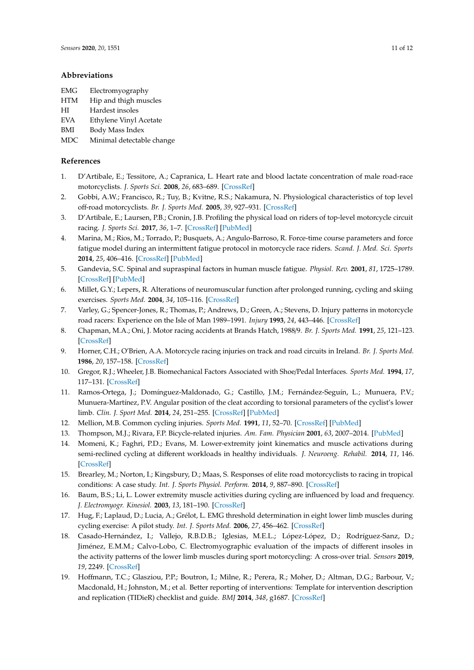#### **Abbreviations**

- EMG Electromyography
- HTM Hip and thigh muscles
- HI Hardest insoles
- EVA Ethylene Vinyl Acetate
- BMI Body Mass Index
- MDC Minimal detectable change

## **References**

- <span id="page-10-0"></span>1. D'Artibale, E.; Tessitore, A.; Capranica, L. Heart rate and blood lactate concentration of male road-race motorcyclists. *J. Sports Sci.* **2008**, *26*, 683–689. [\[CrossRef\]](http://dx.doi.org/10.1080/02640410701790779)
- <span id="page-10-1"></span>2. Gobbi, A.W.; Francisco, R.; Tuy, B.; Kvitne, R.S.; Nakamura, N. Physiological characteristics of top level off-road motorcyclists. *Br. J. Sports Med.* **2005**, *39*, 927–931. [\[CrossRef\]](http://dx.doi.org/10.1136/bjsm.2005.018291)
- <span id="page-10-2"></span>3. D'Artibale, E.; Laursen, P.B.; Cronin, J.B. Profiling the physical load on riders of top-level motorcycle circuit racing. *J. Sports Sci.* **2017**, *36*, 1–7. [\[CrossRef\]](http://dx.doi.org/10.1080/02640414.2017.1355064) [\[PubMed\]](http://www.ncbi.nlm.nih.gov/pubmed/28707561)
- <span id="page-10-3"></span>4. Marina, M.; Rios, M.; Torrado, P.; Busquets, A.; Angulo-Barroso, R. Force-time course parameters and force fatigue model during an intermittent fatigue protocol in motorcycle race riders. *Scand. J. Med. Sci. Sports* **2014**, *25*, 406–416. [\[CrossRef\]](http://dx.doi.org/10.1111/sms.12220) [\[PubMed\]](http://www.ncbi.nlm.nih.gov/pubmed/24730983)
- <span id="page-10-4"></span>5. Gandevia, S.C. Spinal and supraspinal factors in human muscle fatigue. *Physiol. Rev.* **2001**, *81*, 1725–1789. [\[CrossRef\]](http://dx.doi.org/10.1152/physrev.2001.81.4.1725) [\[PubMed\]](http://www.ncbi.nlm.nih.gov/pubmed/11581501)
- <span id="page-10-5"></span>6. Millet, G.Y.; Lepers, R. Alterations of neuromuscular function after prolonged running, cycling and skiing exercises. *Sports Med.* **2004**, *34*, 105–116. [\[CrossRef\]](http://dx.doi.org/10.2165/00007256-200434020-00004)
- <span id="page-10-6"></span>7. Varley, G.; Spencer-Jones, R.; Thomas, P.; Andrews, D.; Green, A.; Stevens, D. Injury patterns in motorcycle road racers: Experience on the Isle of Man 1989–1991. *Injury* **1993**, *24*, 443–446. [\[CrossRef\]](http://dx.doi.org/10.1016/0020-1383(93)90145-V)
- 8. Chapman, M.A.; Oni, J. Motor racing accidents at Brands Hatch, 1988/9. *Br. J. Sports Med.* **1991**, *25*, 121–123. [\[CrossRef\]](http://dx.doi.org/10.1136/bjsm.25.3.121)
- <span id="page-10-7"></span>9. Horner, C.H.; O'Brien, A.A. Motorcycle racing injuries on track and road circuits in Ireland. *Br. J. Sports Med.* **1986**, *20*, 157–158. [\[CrossRef\]](http://dx.doi.org/10.1136/bjsm.20.4.157)
- <span id="page-10-8"></span>10. Gregor, R.J.; Wheeler, J.B. Biomechanical Factors Associated with Shoe/Pedal Interfaces. *Sports Med.* **1994**, *17*, 117–131. [\[CrossRef\]](http://dx.doi.org/10.2165/00007256-199417020-00004)
- <span id="page-10-9"></span>11. Ramos-Ortega, J.; Domínguez-Maldonado, G.; Castillo, J.M.; Fernández-Seguín, L.; Munuera, P.V.; Munuera-Martínez, P.V. Angular position of the cleat according to torsional parameters of the cyclist's lower limb. *Clin. J. Sport Med.* **2014**, *24*, 251–255. [\[CrossRef\]](http://dx.doi.org/10.1097/JSM.0000000000000027) [\[PubMed\]](http://www.ncbi.nlm.nih.gov/pubmed/24451688)
- 12. Mellion, M.B. Common cycling injuries. *Sports Med.* **1991**, *11*, 52–70. [\[CrossRef\]](http://dx.doi.org/10.2165/00007256-199111010-00004) [\[PubMed\]](http://www.ncbi.nlm.nih.gov/pubmed/2011683)
- <span id="page-10-11"></span>13. Thompson, M.J.; Rivara, F.P. Bicycle-related injuries. *Am. Fam. Physician* **2001**, *63*, 2007–2014. [\[PubMed\]](http://www.ncbi.nlm.nih.gov/pubmed/11388717)
- <span id="page-10-10"></span>14. Momeni, K.; Faghri, P.D.; Evans, M. Lower-extremity joint kinematics and muscle activations during semi-reclined cycling at different workloads in healthy individuals. *J. Neuroeng. Rehabil.* **2014**, *11*, 146. [\[CrossRef\]](http://dx.doi.org/10.1186/1743-0003-11-146)
- <span id="page-10-12"></span>15. Brearley, M.; Norton, I.; Kingsbury, D.; Maas, S. Responses of elite road motorcyclists to racing in tropical conditions: A case study. *Int. J. Sports Physiol. Perform.* **2014**, *9*, 887–890. [\[CrossRef\]](http://dx.doi.org/10.1123/ijspp.2013-0409)
- <span id="page-10-13"></span>16. Baum, B.S.; Li, L. Lower extremity muscle activities during cycling are influenced by load and frequency. *J. Electromyogr. Kinesiol.* **2003**, *13*, 181–190. [\[CrossRef\]](http://dx.doi.org/10.1016/S1050-6411(02)00110-4)
- <span id="page-10-14"></span>17. Hug, F.; Laplaud, D.; Lucia, A.; Grélot, L. EMG threshold determination in eight lower limb muscles during cycling exercise: A pilot study. *Int. J. Sports Med.* **2006**, *27*, 456–462. [\[CrossRef\]](http://dx.doi.org/10.1055/s-2005-865787)
- <span id="page-10-15"></span>18. Casado-Hernández, I.; Vallejo, R.B.D.B.; Iglesias, M.E.L.; López-López, D.; Rodríguez-Sanz, D.; Jiménez, E.M.M.; Calvo-Lobo, C. Electromyographic evaluation of the impacts of different insoles in the activity patterns of the lower limb muscles during sport motorcycling: A cross-over trial. *Sensors* **2019**, *19*, 2249. [\[CrossRef\]](http://dx.doi.org/10.3390/s19102249)
- <span id="page-10-16"></span>19. Hoffmann, T.C.; Glasziou, P.P.; Boutron, I.; Milne, R.; Perera, R.; Moher, D.; Altman, D.G.; Barbour, V.; Macdonald, H.; Johnston, M.; et al. Better reporting of interventions: Template for intervention description and replication (TIDieR) checklist and guide. *BMJ* **2014**, *348*, g1687. [\[CrossRef\]](http://dx.doi.org/10.1136/bmj.g1687)